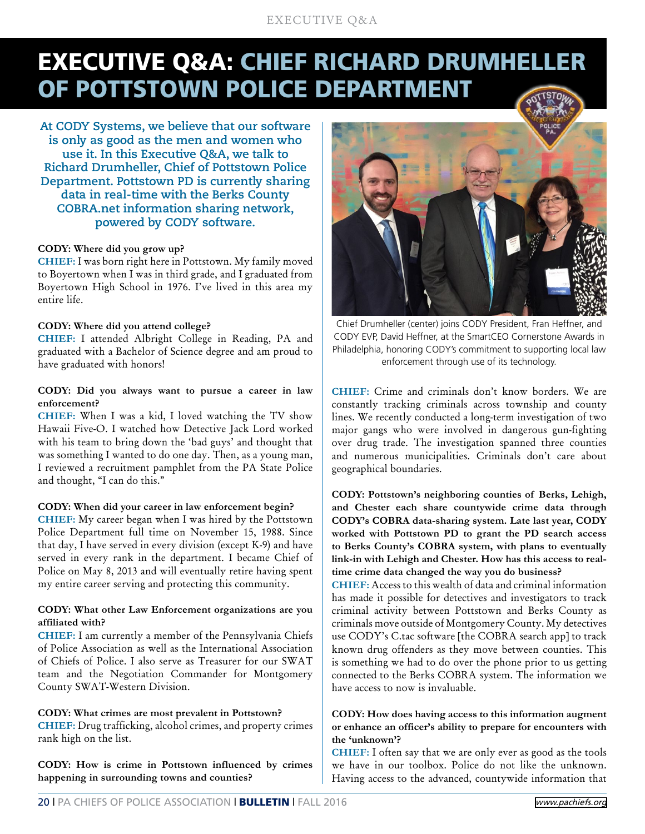# EXECUTIVE Q&A

# EXECUTIVE Q&A: CHIEF RICHARD DRUMHELLER OF POTTSTOWN POLICE DEPARTMENT

**At CODY Systems, we believe that our software is only as good as the men and women who use it. In this Executive Q&A, we talk to Richard Drumheller, Chief of Pottstown Police Department. Pottstown PD is currently sharing data in real-time with the Berks County COBRA.net information sharing network, powered by CODY software.**

#### **CODY: Where did you grow up?**

**CHIEF:** I was born right here in Pottstown. My family moved to Boyertown when I was in third grade, and I graduated from Boyertown High School in 1976. I've lived in this area my entire life.

#### **CODY: Where did you attend college?**

**CHIEF:** I attended Albright College in Reading, PA and graduated with a Bachelor of Science degree and am proud to have graduated with honors!

#### **CODY: Did you always want to pursue a career in law enforcement?**

**CHIEF:** When I was a kid, I loved watching the TV show Hawaii Five-O. I watched how Detective Jack Lord worked with his team to bring down the 'bad guys' and thought that was something I wanted to do one day. Then, as a young man, I reviewed a recruitment pamphlet from the PA State Police and thought, "I can do this."

#### **CODY: When did your career in law enforcement begin?**

**CHIEF:** My career began when I was hired by the Pottstown Police Department full time on November 15, 1988. Since that day, I have served in every division (except K-9) and have served in every rank in the department. I became Chief of Police on May 8, 2013 and will eventually retire having spent my entire career serving and protecting this community.

## **CODY: What other Law Enforcement organizations are you affiliated with?**

**CHIEF:** I am currently a member of the Pennsylvania Chiefs of Police Association as well as the International Association of Chiefs of Police. I also serve as Treasurer for our SWAT team and the Negotiation Commander for Montgomery County SWAT-Western Division.

#### **CODY: What crimes are most prevalent in Pottstown?**

**CHIEF:** Drug trafficking, alcohol crimes, and property crimes rank high on the list.

**CODY: How is crime in Pottstown influenced by crimes happening in surrounding towns and counties?**



Chief Drumheller (center) joins CODY President, Fran Heffner, and CODY EVP, David Heffner, at the SmartCEO Cornerstone Awards in Philadelphia, honoring CODY's commitment to supporting local law enforcement through use of its technology.

**CHIEF:** Crime and criminals don't know borders. We are constantly tracking criminals across township and county lines. We recently conducted a long-term investigation of two major gangs who were involved in dangerous gun-fighting over drug trade. The investigation spanned three counties and numerous municipalities. Criminals don't care about geographical boundaries.

**CODY: Pottstown's neighboring counties of Berks, Lehigh, and Chester each share countywide crime data through CODY's COBRA data-sharing system. Late last year, CODY worked with Pottstown PD to grant the PD search access to Berks County's COBRA system, with plans to eventually link-in with Lehigh and Chester. How has this access to realtime crime data changed the way you do business?**

**CHIEF:** Access to this wealth of data and criminal information has made it possible for detectives and investigators to track criminal activity between Pottstown and Berks County as criminals move outside of Montgomery County. My detectives use CODY's C.tac software [the COBRA search app] to track known drug offenders as they move between counties. This is something we had to do over the phone prior to us getting connected to the Berks COBRA system. The information we have access to now is invaluable.

# **CODY: How does having access to this information augment or enhance an officer's ability to prepare for encounters with the 'unknown'?**

**CHIEF:** I often say that we are only ever as good as the tools we have in our toolbox. Police do not like the unknown. Having access to the advanced, countywide information that